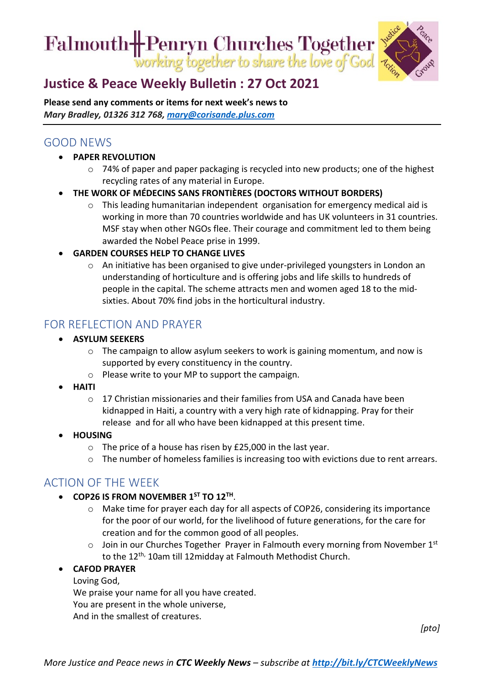Falmouth H Penryn Churches Together



# **[Justice & Peace Weekly Bulletin : 27](https://ctcinfohub.us20.list-manage.com/track/click?u=b645f09ec283e4df6750ff7ee&id=b04d1aea1f&e=5e2c195eda) Oct 2021**

**Please send any comments or items for next week's news to**  *Mary Bradley, 01326 312 768, [mary@corisande.plus.com](mailto:mary@corisande.plus.com)*

## GOOD NEWS

- **PAPER REVOLUTION**
	- o 74% of paper and paper packaging is recycled into new products; one of the highest recycling rates of any material in Europe.
- **THE WORK OF MÉDECINS SANS FRONTIÈRES (DOCTORS WITHOUT BORDERS)**
	- $\circ$  This leading humanitarian independent organisation for emergency medical aid is working in more than 70 countries worldwide and has UK volunteers in 31 countries. MSF stay when other NGOs flee. Their courage and commitment led to them being awarded the Nobel Peace prise in 1999.
- **GARDEN COURSES HELP TO CHANGE LIVES**
	- o An initiative has been organised to give under-privileged youngsters in London an understanding of horticulture and is offering jobs and life skills to hundreds of people in the capital. The scheme attracts men and women aged 18 to the midsixties. About 70% find jobs in the horticultural industry.

#### FOR REFLECTION AND PRAYER

- **ASYLUM SEEKERS**
	- o The campaign to allow asylum seekers to work is gaining momentum, and now is supported by every constituency in the country.
	- o Please write to your MP to support the campaign.
- **HAITI**
	- $\circ$  17 Christian missionaries and their families from USA and Canada have been kidnapped in Haiti, a country with a very high rate of kidnapping. Pray for their release and for all who have been kidnapped at this present time.
- **HOUSING**
	- o The price of a house has risen by £25,000 in the last year.
	- $\circ$  The number of homeless families is increasing too with evictions due to rent arrears.

### ACTION OF THE WEEK

- **COP26 IS FROM NOVEMBER 1ST TO 12TH**.
	- o Make time for prayer each day for all aspects of COP26, considering its importance for the poor of our world, for the livelihood of future generations, for the care for creation and for the common good of all peoples.
	- o Join in our Churches Together Prayer in Falmouth every morning from November 1st to the 12<sup>th,</sup> 10am till 12midday at Falmouth Methodist Church.

#### • **CAFOD PRAYER**

Loving God, We praise your name for all you have created. You are present in the whole universe, And in the smallest of creatures.